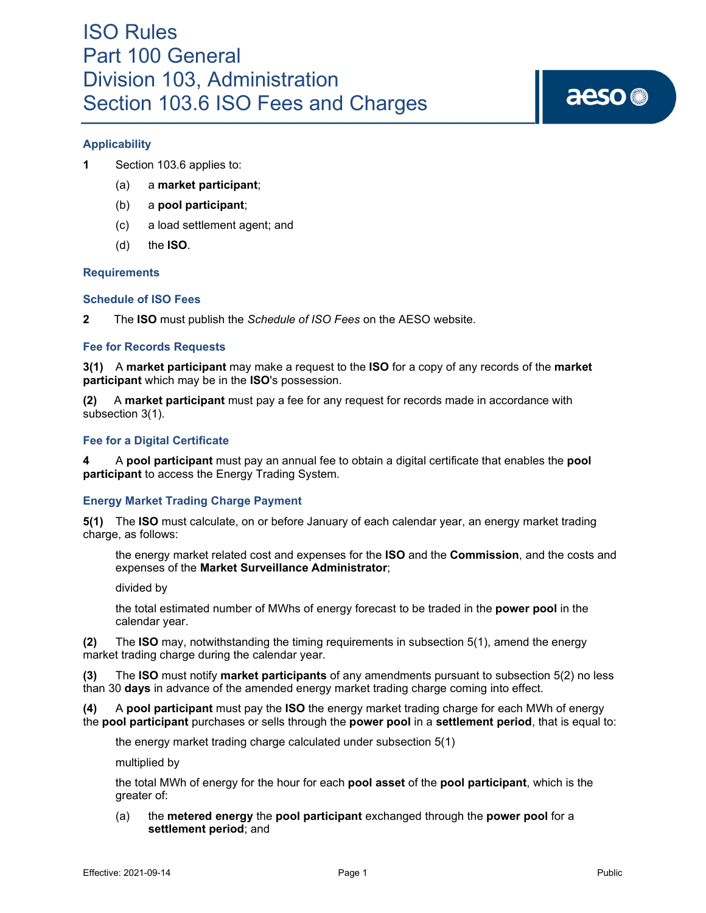# aeso<sup>®</sup>

#### **Applicability**

- **1** Section 103.6 applies to:
	- (a) a **market participant**;
	- (b) a **pool participant**;
	- (c) a load settlement agent; and
	- (d) the **ISO**.

#### **Requirements**

#### **Schedule of ISO Fees**

**2** The **ISO** must publish the *Schedule of ISO Fees* on the AESO website.

#### **Fee for Records Requests**

**3(1)** A **market participant** may make a request to the **ISO** for a copy of any records of the **market participant** which may be in the **ISO**'s possession.

**(2)** A **market participant** must pay a fee for any request for records made in accordance with subsection 3(1).

#### **Fee for a Digital Certificate**

**4** A **pool participant** must pay an annual fee to obtain a digital certificate that enables the **pool participant** to access the Energy Trading System.

#### **Energy Market Trading Charge Payment**

**5(1)** The **ISO** must calculate, on or before January of each calendar year, an energy market trading charge, as follows:

the energy market related cost and expenses for the **ISO** and the **Commission**, and the costs and expenses of the **Market Surveillance Administrator**;

divided by

the total estimated number of MWhs of energy forecast to be traded in the **power pool** in the calendar year.

**(2)** The **ISO** may, notwithstanding the timing requirements in subsection 5(1), amend the energy market trading charge during the calendar year.

**(3)** The **ISO** must notify **market participants** of any amendments pursuant to subsection 5(2) no less than 30 **days** in advance of the amended energy market trading charge coming into effect.

**(4)** A **pool participant** must pay the **ISO** the energy market trading charge for each MWh of energy the **pool participant** purchases or sells through the **power pool** in a **settlement period**, that is equal to:

the energy market trading charge calculated under subsection 5(1)

multiplied by

the total MWh of energy for the hour for each **pool asset** of the **pool participant**, which is the greater of:

(a) the **metered energy** the **pool participant** exchanged through the **power pool** for a **settlement period**; and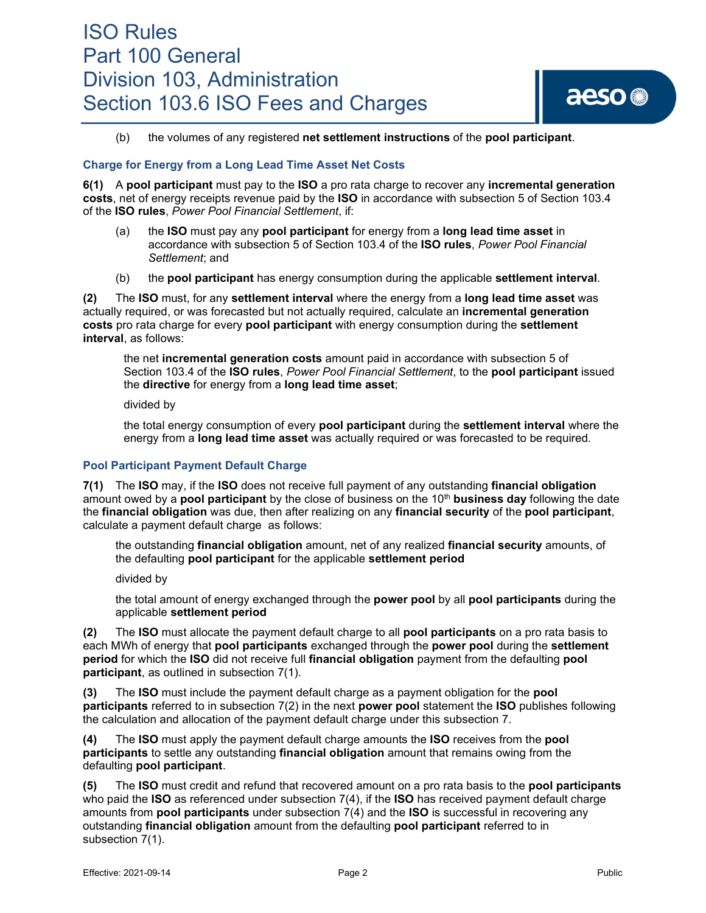### ISO Rules Part 100 General Division 103, Administration Section 103.6 ISO Fees and Charges

aeso<sup>®</sup>

(b) the volumes of any registered **net settlement instructions** of the **pool participant**.

#### **Charge for Energy from a Long Lead Time Asset Net Costs**

**6(1)** A **pool participant** must pay to the **ISO** a pro rata charge to recover any **incremental generation costs**, net of energy receipts revenue paid by the **ISO** in accordance with subsection 5 of Section 103.4 of the **ISO rules**, *Power Pool Financial Settlement*, if:

- (a) the **ISO** must pay any **pool participant** for energy from a **long lead time asset** in accordance with subsection 5 of Section 103.4 of the **ISO rules**, *Power Pool Financial Settlement*; and
- (b) the **pool participant** has energy consumption during the applicable **settlement interval**.

**(2)** The **ISO** must, for any **settlement interval** where the energy from a **long lead time asset** was actually required, or was forecasted but not actually required, calculate an **incremental generation costs** pro rata charge for every **pool participant** with energy consumption during the **settlement interval**, as follows:

the net **incremental generation costs** amount paid in accordance with subsection 5 of Section 103.4 of the **ISO rules**, *Power Pool Financial Settlement*, to the **pool participant** issued the **directive** for energy from a **long lead time asset**;

divided by

the total energy consumption of every **pool participant** during the **settlement interval** where the energy from a **long lead time asset** was actually required or was forecasted to be required*.*

#### **Pool Participant Payment Default Charge**

**7(1)** The **ISO** may, if the **ISO** does not receive full payment of any outstanding **financial obligation** amount owed by a **pool participant** by the close of business on the 10th **business day** following the date the **financial obligation** was due, then after realizing on any **financial security** of the **pool participant**, calculate a payment default charge as follows:

the outstanding **financial obligation** amount, net of any realized **financial security** amounts, of the defaulting **pool participant** for the applicable **settlement period**

divided by

the total amount of energy exchanged through the **power pool** by all **pool participants** during the applicable **settlement period**

**(2)** The **ISO** must allocate the payment default charge to all **pool participants** on a pro rata basis to each MWh of energy that **pool participants** exchanged through the **power pool** during the **settlement period** for which the **ISO** did not receive full **financial obligation** payment from the defaulting **pool participant**, as outlined in subsection 7(1).

**(3)** The **ISO** must include the payment default charge as a payment obligation for the **pool participants** referred to in subsection 7(2) in the next **power pool** statement the **ISO** publishes following the calculation and allocation of the payment default charge under this subsection 7.

**(4)** The **ISO** must apply the payment default charge amounts the **ISO** receives from the **pool participants** to settle any outstanding **financial obligation** amount that remains owing from the defaulting **pool participant**.

**(5)** The **ISO** must credit and refund that recovered amount on a pro rata basis to the **pool participants** who paid the **ISO** as referenced under subsection 7(4), if the **ISO** has received payment default charge amounts from **pool participants** under subsection 7(4) and the **ISO** is successful in recovering any outstanding **financial obligation** amount from the defaulting **pool participant** referred to in subsection 7(1).